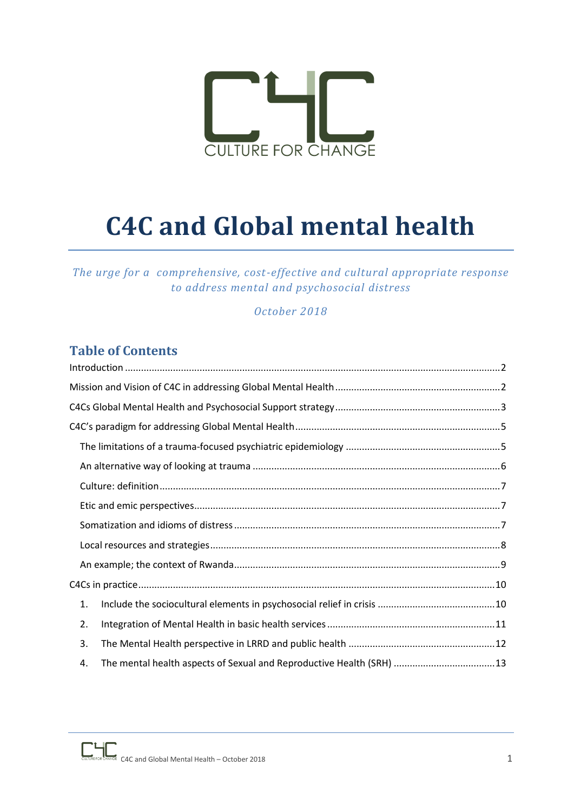

# **C4C and Global mental health**

*The urge for a comprehensive, cost-effective and cultural appropriate response to address mental and psychosocial distress*

*October 2018*

# **Table of Contents**

| 1. |
|----|
| 2. |
| 3. |
| 4. |

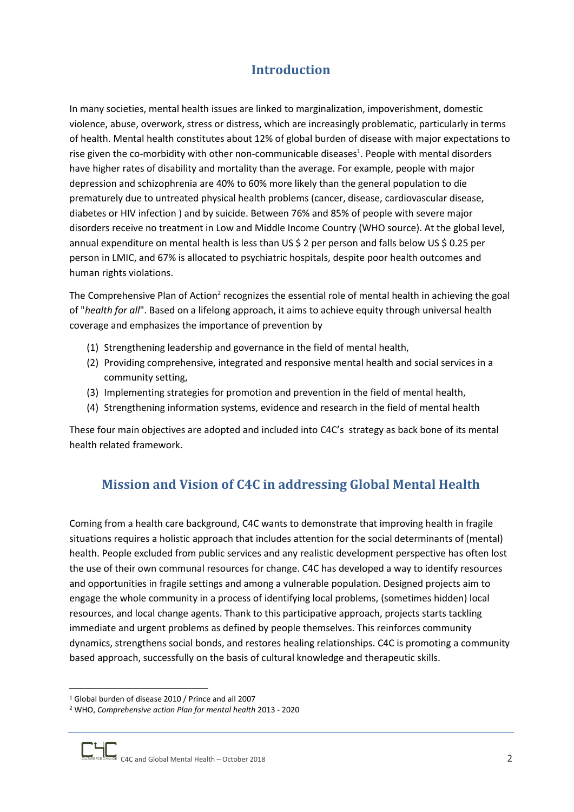# **Introduction**

<span id="page-1-0"></span>In many societies, mental health issues are linked to marginalization, impoverishment, domestic violence, abuse, overwork, stress or distress, which are increasingly problematic, particularly in terms of health. Mental health constitutes about 12% of global burden of disease with major expectations to rise given the co-morbidity with other non-communicable diseases<sup>1</sup>. People with mental disorders have higher rates of disability and mortality than the average. For example, people with major depression and schizophrenia are 40% to 60% more likely than the general population to die prematurely due to untreated physical health problems (cancer, disease, cardiovascular disease, diabetes or HIV infection ) and by suicide. Between 76% and 85% of people with severe major disorders receive no treatment in Low and Middle Income Country (WHO source). At the global level, annual expenditure on mental health is less than US \$ 2 per person and falls below US \$ 0.25 per person in LMIC, and 67% is allocated to psychiatric hospitals, despite poor health outcomes and human rights violations.

The Comprehensive Plan of Action<sup>2</sup> recognizes the essential role of mental health in achieving the goal of "*health for all*". Based on a lifelong approach, it aims to achieve equity through universal health coverage and emphasizes the importance of prevention by

- (1) Strengthening leadership and governance in the field of mental health,
- (2) Providing comprehensive, integrated and responsive mental health and social services in a community setting,
- (3) Implementing strategies for promotion and prevention in the field of mental health,
- (4) Strengthening information systems, evidence and research in the field of mental health

<span id="page-1-1"></span>These four main objectives are adopted and included into C4C's strategy as back bone of its mental health related framework.

# **Mission and Vision of C4C in addressing Global Mental Health**

Coming from a health care background, C4C wants to demonstrate that improving health in fragile situations requires a holistic approach that includes attention for the social determinants of (mental) health. People excluded from public services and any realistic development perspective has often lost the use of their own communal resources for change. C4C has developed a way to identify resources and opportunities in fragile settings and among a vulnerable population. Designed projects aim to engage the whole community in a process of identifying local problems, (sometimes hidden) local resources, and local change agents. Thank to this participative approach, projects starts tackling immediate and urgent problems as defined by people themselves. This reinforces community dynamics, strengthens social bonds, and restores healing relationships. C4C is promoting a community based approach, successfully on the basis of cultural knowledge and therapeutic skills.

<sup>1</sup> Global burden of disease 2010 / Prince and all 2007

<sup>2</sup> WHO, *Comprehensive action Plan for mental health* 2013 - 2020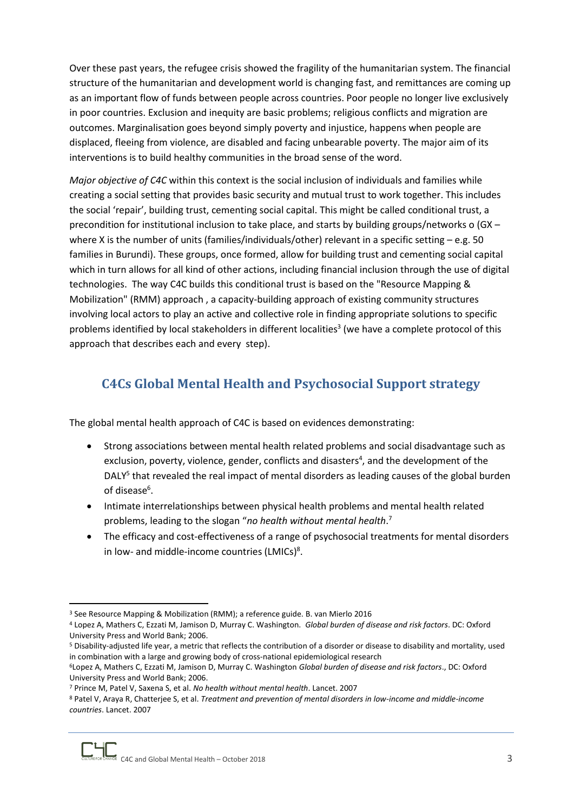Over these past years, the refugee crisis showed the fragility of the humanitarian system. The financial structure of the humanitarian and development world is changing fast, and remittances are coming up as an important flow of funds between people across countries. Poor people no longer live exclusively in poor countries. Exclusion and inequity are basic problems; religious conflicts and migration are outcomes. Marginalisation goes beyond simply poverty and injustice, happens when people are displaced, fleeing from violence, are disabled and facing unbearable poverty. The major aim of its interventions is to build healthy communities in the broad sense of the word.

*Major objective of C4C* within this context is the social inclusion of individuals and families while creating a social setting that provides basic security and mutual trust to work together. This includes the social 'repair', building trust, cementing social capital. This might be called conditional trust, a precondition for institutional inclusion to take place, and starts by building groups/networks o (GX – where X is the number of units (families/individuals/other) relevant in a specific setting  $-e.g. 50$ families in Burundi). These groups, once formed, allow for building trust and cementing social capital which in turn allows for all kind of other actions, including financial inclusion through the use of digital technologies. The way C4C builds this conditional trust is based on the "Resource Mapping & Mobilization" (RMM) approach , a capacity-building approach of existing community structures involving local actors to play an active and collective role in finding appropriate solutions to specific problems identified by local stakeholders in different localities<sup>3</sup> (we have a complete protocol of this approach that describes each and every step).

# <span id="page-2-0"></span>**C4Cs Global Mental Health and Psychosocial Support strategy**

The global mental health approach of C4C is based on evidences demonstrating:

- Strong associations between mental health related problems and social disadvantage such as exclusion, poverty, violence, gender, conflicts and disasters<sup>4</sup>, and the development of the DALY<sup>5</sup> that revealed the real impact of mental disorders as leading causes of the global burden of disease<sup>6</sup>.
- Intimate interrelationships between physical health problems and mental health related problems, leading to the slogan "*no health without mental health*. 7
- The efficacy and cost-effectiveness of a range of psychosocial treatments for mental disorders in low- and middle-income countries (LMICs)<sup>8</sup>.

**<sup>.</sup>** <sup>3</sup> See Resource Mapping & Mobilization (RMM); a reference guide. B. van Mierlo 2016

<sup>4</sup> Lopez A, Mathers C, Ezzati M, Jamison D, Murray C. Washington. *Global burden of disease and risk factors*. DC: Oxford University Press and World Bank; 2006.

<sup>5</sup> Disability-adjusted life year, a metric that reflects the contribution of a disorder or disease to disability and mortality, used in combination with a large and growing body of cross-national epidemiological research

<sup>6</sup>Lopez A, Mathers C, Ezzati M, Jamison D, Murray C. Washington *Global burden of disease and risk factors*., DC: Oxford University Press and World Bank; 2006.

<sup>7</sup> Prince M, Patel V, Saxena S, et al. *No health without mental health*. Lancet. 2007

<sup>8</sup> Patel V, Araya R, Chatterjee S, et al. *Treatment and prevention of mental disorders in low-income and middle-income countries*. Lancet. 2007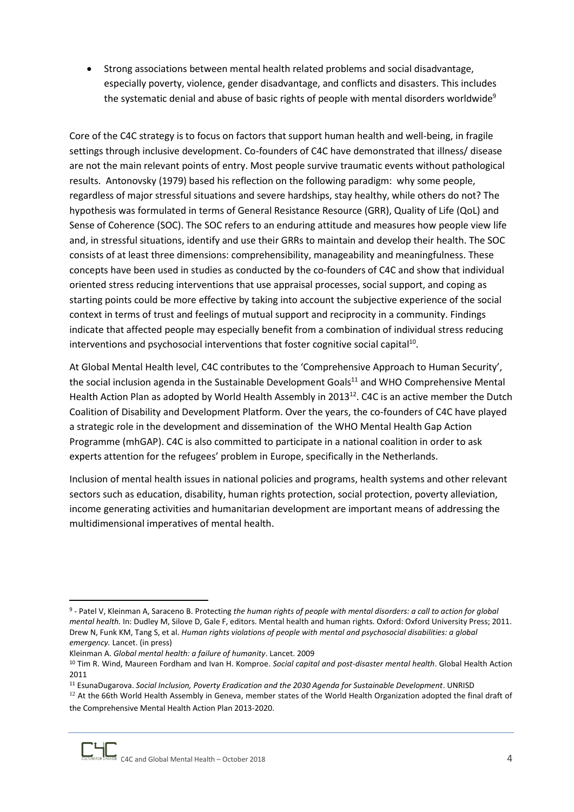• Strong associations between mental health related problems and social disadvantage, especially poverty, violence, gender disadvantage, and conflicts and disasters. This includes the systematic denial and abuse of basic rights of people with mental disorders worldwide<sup>9</sup>

Core of the C4C strategy is to focus on factors that support human health and well-being, in fragile settings through inclusive development. Co-founders of C4C have demonstrated that illness/ disease are not the main relevant points of entry. Most people survive traumatic events without pathological results. Antonovsky (1979) based his reflection on the following paradigm: why some people, regardless of major stressful situations and severe hardships, stay healthy, while others do not? The hypothesis was formulated in terms of General Resistance Resource (GRR), Quality of Life (QoL) and Sense of Coherence (SOC). The SOC refers to an enduring attitude and measures how people view life and, in stressful situations, identify and use their GRRs to maintain and develop their health. The SOC consists of at least three dimensions: comprehensibility, manageability and meaningfulness. These concepts have been used in studies as conducted by the co-founders of C4C and show that individual oriented stress reducing interventions that use appraisal processes, social support, and coping as starting points could be more effective by taking into account the subjective experience of the social context in terms of trust and feelings of mutual support and reciprocity in a community. Findings indicate that affected people may especially benefit from a combination of individual stress reducing interventions and psychosocial interventions that foster cognitive social capital $^{10}$ .

At Global Mental Health level, C4C contributes to the 'Comprehensive Approach to Human Security', the social inclusion agenda in the Sustainable Development Goals<sup>11</sup> and WHO Comprehensive Mental Health Action Plan as adopted by World Health Assembly in 2013<sup>12</sup>. C4C is an active member the Dutch Coalition of Disability and Development Platform. Over the years, the co-founders of C4C have played a strategic role in the development and dissemination of the WHO Mental Health Gap Action Programme (mhGAP). C4C is also committed to participate in a national coalition in order to ask experts attention for the refugees' problem in Europe, specifically in the Netherlands.

<span id="page-3-0"></span>Inclusion of mental health issues in national policies and programs, health systems and other relevant sectors such as education, disability, human rights protection, social protection, poverty alleviation, income generating activities and humanitarian development are important means of addressing the multidimensional imperatives of mental health.

<sup>9</sup> - Patel V, Kleinman A, Saraceno B. Protecting *the human rights of people with mental disorders: a call to action for global mental health.* In: Dudley M, Silove D, Gale F, editors. Mental health and human rights. Oxford: Oxford University Press; 2011. Drew N, Funk KM, Tang S, et al. *Human rights violations of people with mental and psychosocial disabilities: a global emergency.* Lancet. (in press)

Kleinman A. *Global mental health: a failure of humanity*. Lancet. 2009

<sup>10</sup> Tim R. Wind, Maureen Fordham and Ivan H. Komproe. *Social capital and post-disaster mental health*. Global Health Action 2011

<sup>11</sup> EsunaDugarova. *Social Inclusion, Poverty Eradication and the 2030 Agenda for Sustainable Development*. UNRISD

 $12$  At the [66th World Health Assembly in Geneva,](http://www.who.int/mediacentre/news/releases/2013/world_health_assembly_20130527/en/index.html) member states of the World Health Organization adopted the final draft of the [Comprehensive Mental Health Action Plan 2013-2020.](http://apps.who.int/gb/ebwha/pdf_files/WHA66/A66_10Rev1-en.pdf)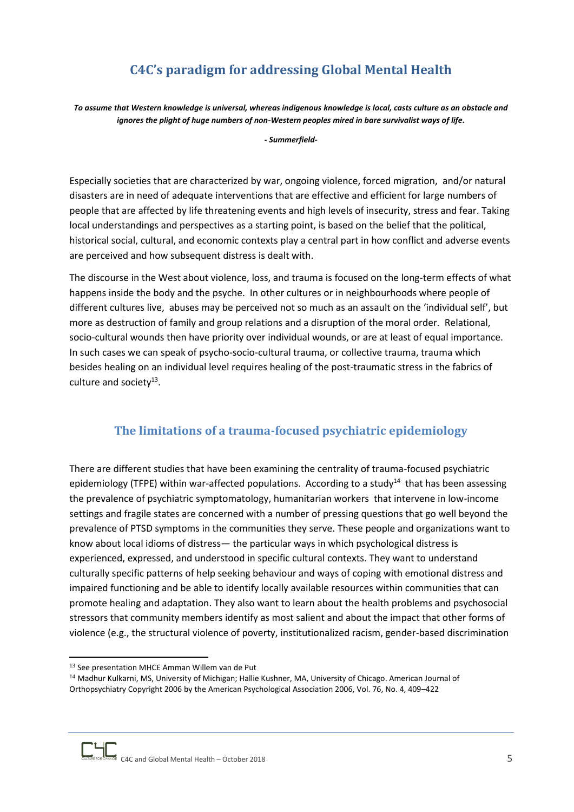# **C4C's paradigm for addressing Global Mental Health**

*To assume that Western knowledge is universal, whereas indigenous knowledge is local, casts culture as an obstacle and ignores the plight of huge numbers of non-Western peoples mired in bare survivalist ways of life.* 

*- Summerfield-*

Especially societies that are characterized by war, ongoing violence, forced migration, and/or natural disasters are in need of adequate interventions that are effective and efficient for large numbers of people that are affected by life threatening events and high levels of insecurity, stress and fear. Taking local understandings and perspectives as a starting point, is based on the belief that the political, historical social, cultural, and economic contexts play a central part in how conflict and adverse events are perceived and how subsequent distress is dealt with.

The discourse in the West about violence, loss, and trauma is focused on the long-term effects of what happens inside the body and the psyche. In other cultures or in neighbourhoods where people of different cultures live, abuses may be perceived not so much as an assault on the 'individual self', but more as destruction of family and group relations and a disruption of the moral order. Relational, socio-cultural wounds then have priority over individual wounds, or are at least of equal importance. In such cases we can speak of psycho-socio-cultural trauma, or collective trauma, trauma which besides healing on an individual level requires healing of the post-traumatic stress in the fabrics of culture and society<sup>13</sup>.

## **The limitations of a trauma-focused psychiatric epidemiology**

<span id="page-4-0"></span>There are different studies that have been examining the centrality of trauma-focused psychiatric epidemiology (TFPE) within war-affected populations. According to a study<sup>14</sup> that has been assessing the prevalence of psychiatric symptomatology, humanitarian workers that intervene in low-income settings and fragile states are concerned with a number of pressing questions that go well beyond the prevalence of PTSD symptoms in the communities they serve. These people and organizations want to know about local idioms of distress— the particular ways in which psychological distress is experienced, expressed, and understood in specific cultural contexts. They want to understand culturally specific patterns of help seeking behaviour and ways of coping with emotional distress and impaired functioning and be able to identify locally available resources within communities that can promote healing and adaptation. They also want to learn about the health problems and psychosocial stressors that community members identify as most salient and about the impact that other forms of violence (e.g., the structural violence of poverty, institutionalized racism, gender-based discrimination



<sup>&</sup>lt;sup>13</sup> See presentation MHCE Amman Willem van de Put

<sup>&</sup>lt;sup>14</sup> Madhur Kulkarni, MS, University of Michigan; Hallie Kushner, MA, University of Chicago. American Journal of Orthopsychiatry Copyright 2006 by the American Psychological Association 2006, Vol. 76, No. 4, 409–422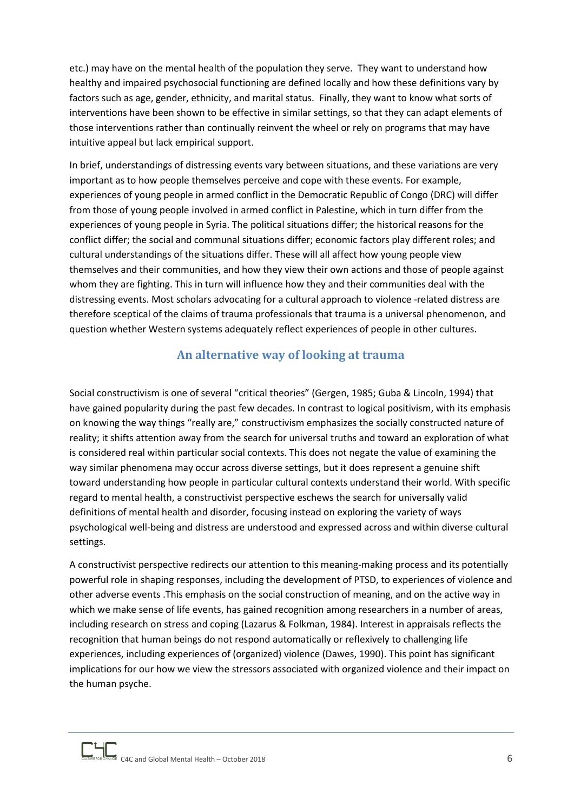etc.) may have on the mental health of the population they serve. They want to understand how healthy and impaired psychosocial functioning are defined locally and how these definitions vary by factors such as age, gender, ethnicity, and marital status. Finally, they want to know what sorts of interventions have been shown to be effective in similar settings, so that they can adapt elements of those interventions rather than continually reinvent the wheel or rely on programs that may have intuitive appeal but lack empirical support.

In brief, understandings of distressing events vary between situations, and these variations are very important as to how people themselves perceive and cope with these events. For example, experiences of young people in armed conflict in the Democratic Republic of Congo (DRC) will differ from those of young people involved in armed conflict in Palestine, which in turn differ from the experiences of young people in Syria. The political situations differ; the historical reasons for the conflict differ; the social and communal situations differ; economic factors play different roles; and cultural understandings of the situations differ. These will all affect how young people view themselves and their communities, and how they view their own actions and those of people against whom they are fighting. This in turn will influence how they and their communities deal with the distressing events. Most scholars advocating for a cultural approach to violence -related distress are therefore sceptical of the claims of trauma professionals that trauma is a universal phenomenon, and question whether Western systems adequately reflect experiences of people in other cultures.

#### **An alternative way of looking at trauma**

<span id="page-5-0"></span>Social constructivism is one of several "critical theories" (Gergen, 1985; Guba & Lincoln, 1994) that have gained popularity during the past few decades. In contrast to logical positivism, with its emphasis on knowing the way things "really are," constructivism emphasizes the socially constructed nature of reality; it shifts attention away from the search for universal truths and toward an exploration of what is considered real within particular social contexts. This does not negate the value of examining the way similar phenomena may occur across diverse settings, but it does represent a genuine shift toward understanding how people in particular cultural contexts understand their world. With specific regard to mental health, a constructivist perspective eschews the search for universally valid definitions of mental health and disorder, focusing instead on exploring the variety of ways psychological well-being and distress are understood and expressed across and within diverse cultural settings.

A constructivist perspective redirects our attention to this meaning-making process and its potentially powerful role in shaping responses, including the development of PTSD, to experiences of violence and other adverse events .This emphasis on the social construction of meaning, and on the active way in which we make sense of life events, has gained recognition among researchers in a number of areas, including research on stress and coping (Lazarus & Folkman, 1984). Interest in appraisals reflects the recognition that human beings do not respond automatically or reflexively to challenging life experiences, including experiences of (organized) violence (Dawes, 1990). This point has significant implications for our how we view the stressors associated with organized violence and their impact on the human psyche.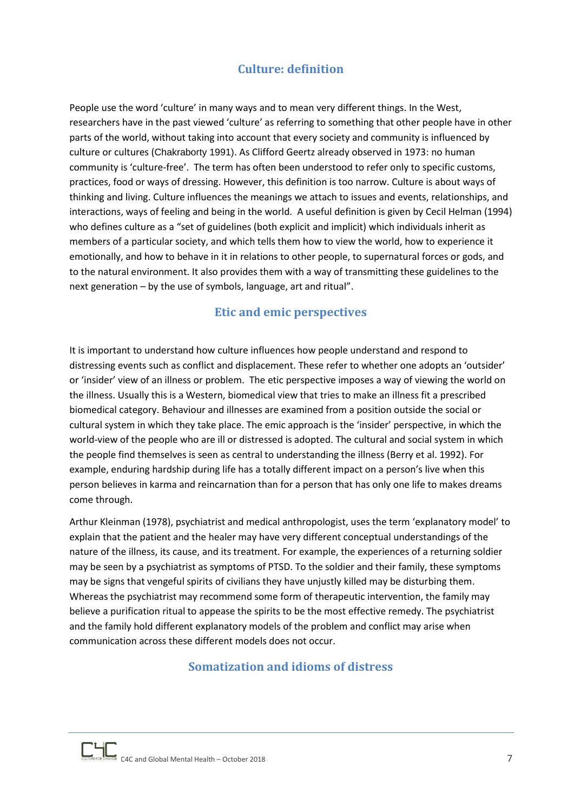## **Culture: definition**

<span id="page-6-0"></span>People use the word 'culture' in many ways and to mean very different things. In the West, researchers have in the past viewed 'culture' as referring to something that other people have in other parts of the world, without taking into account that every society and community is influenced by culture or cultures (Chakraborty 1991). As Clifford Geertz already observed in 1973: no human community is 'culture-free'. The term has often been understood to refer only to specific customs, practices, food or ways of dressing. However, this definition is too narrow. Culture is about ways of thinking and living. Culture influences the meanings we attach to issues and events, relationships, and interactions, ways of feeling and being in the world. A useful definition is given by Cecil Helman (1994) who defines culture as a "set of guidelines (both explicit and implicit) which individuals inherit as members of a particular society, and which tells them how to view the world, how to experience it emotionally, and how to behave in it in relations to other people, to supernatural forces or gods, and to the natural environment. It also provides them with a way of transmitting these guidelines to the next generation – by the use of symbols, language, art and ritual".

## **Etic and emic perspectives**

<span id="page-6-1"></span>It is important to understand how culture influences how people understand and respond to distressing events such as conflict and displacement. These refer to whether one adopts an 'outsider' or 'insider' view of an illness or problem. The etic perspective imposes a way of viewing the world on the illness. Usually this is a Western, biomedical view that tries to make an illness fit a prescribed biomedical category. Behaviour and illnesses are examined from a position outside the social or cultural system in which they take place. The emic approach is the 'insider' perspective, in which the world-view of the people who are ill or distressed is adopted. The cultural and social system in which the people find themselves is seen as central to understanding the illness (Berry et al. 1992). For example, enduring hardship during life has a totally different impact on a person's live when this person believes in karma and reincarnation than for a person that has only one life to makes dreams come through.

Arthur Kleinman (1978), psychiatrist and medical anthropologist, uses the term 'explanatory model' to explain that the patient and the healer may have very different conceptual understandings of the nature of the illness, its cause, and its treatment. For example, the experiences of a returning soldier may be seen by a psychiatrist as symptoms of PTSD. To the soldier and their family, these symptoms may be signs that vengeful spirits of civilians they have unjustly killed may be disturbing them. Whereas the psychiatrist may recommend some form of therapeutic intervention, the family may believe a purification ritual to appease the spirits to be the most effective remedy. The psychiatrist and the family hold different explanatory models of the problem and conflict may arise when communication across these different models does not occur.

## <span id="page-6-2"></span>**Somatization and idioms of distress**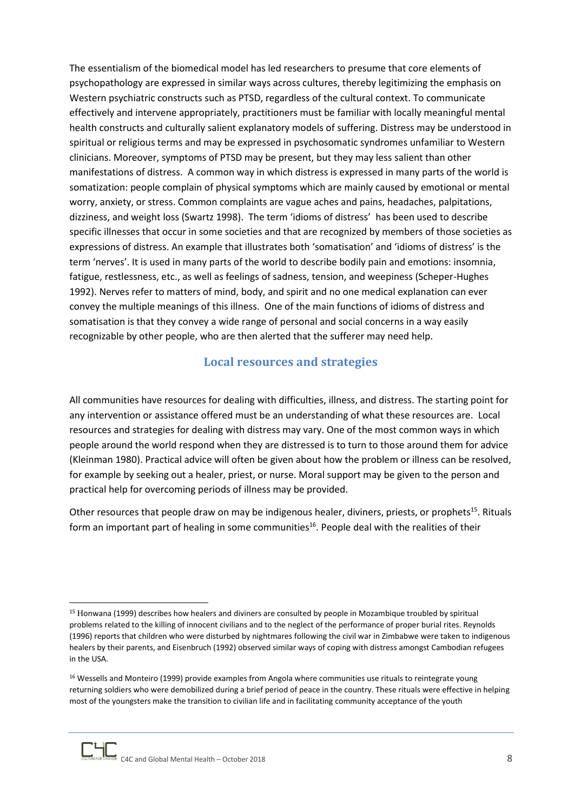The essentialism of the biomedical model has led researchers to presume that core elements of psychopathology are expressed in similar ways across cultures, thereby legitimizing the emphasis on Western psychiatric constructs such as PTSD, regardless of the cultural context. To communicate effectively and intervene appropriately, practitioners must be familiar with locally meaningful mental health constructs and culturally salient explanatory models of suffering. Distress may be understood in spiritual or religious terms and may be expressed in psychosomatic syndromes unfamiliar to Western clinicians. Moreover, symptoms of PTSD may be present, but they may less salient than other manifestations of distress. A common way in which distress is expressed in many parts of the world is somatization: people complain of physical symptoms which are mainly caused by emotional or mental worry, anxiety, or stress. Common complaints are vague aches and pains, headaches, palpitations, dizziness, and weight loss (Swartz 1998). The term 'idioms of distress' has been used to describe specific illnesses that occur in some societies and that are recognized by members of those societies as expressions of distress. An example that illustrates both 'somatisation' and 'idioms of distress' is the term 'nerves'. It is used in many parts of the world to describe bodily pain and emotions: insomnia, fatigue, restlessness, etc., as well as feelings of sadness, tension, and weepiness (Scheper-Hughes 1992). Nerves refer to matters of mind, body, and spirit and no one medical explanation can ever convey the multiple meanings of this illness. One of the main functions of idioms of distress and somatisation is that they convey a wide range of personal and social concerns in a way easily recognizable by other people, who are then alerted that the sufferer may need help.

#### **Local resources and strategies**

<span id="page-7-0"></span>All communities have resources for dealing with difficulties, illness, and distress. The starting point for any intervention or assistance offered must be an understanding of what these resources are. Local resources and strategies for dealing with distress may vary. One of the most common ways in which people around the world respond when they are distressed is to turn to those around them for advice (Kleinman 1980). Practical advice will often be given about how the problem or illness can be resolved, for example by seeking out a healer, priest, or nurse. Moral support may be given to the person and practical help for overcoming periods of illness may be provided.

Other resources that people draw on may be indigenous healer, diviners, priests, or prophets<sup>15</sup>. Rituals form an important part of healing in some communities<sup>16</sup>. People deal with the realities of their

<sup>15</sup> Honwana (1999) describes how healers and diviners are consulted by people in Mozambique troubled by spiritual problems related to the killing of innocent civilians and to the neglect of the performance of proper burial rites. Reynolds (1996) reports that children who were disturbed by nightmares following the civil war in Zimbabwe were taken to indigenous healers by their parents, and Eisenbruch (1992) observed similar ways of coping with distress amongst Cambodian refugees in the USA.

<sup>&</sup>lt;sup>16</sup> Wessells and Monteiro (1999) provide examples from Angola where communities use rituals to reintegrate young returning soldiers who were demobilized during a brief period of peace in the country. These rituals were effective in helping most of the youngsters make the transition to civilian life and in facilitating community acceptance of the youth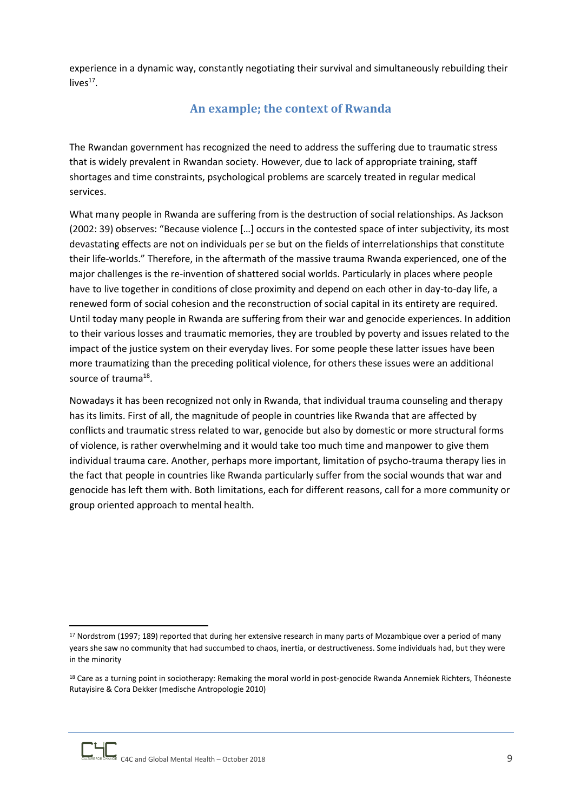<span id="page-8-0"></span>experience in a dynamic way, constantly negotiating their survival and simultaneously rebuilding their  $lives<sup>17</sup>$ .

## **An example; the context of Rwanda**

The Rwandan government has recognized the need to address the suffering due to traumatic stress that is widely prevalent in Rwandan society. However, due to lack of appropriate training, staff shortages and time constraints, psychological problems are scarcely treated in regular medical services.

What many people in Rwanda are suffering from is the destruction of social relationships. As Jackson (2002: 39) observes: "Because violence […] occurs in the contested space of inter subjectivity, its most devastating effects are not on individuals per se but on the fields of interrelationships that constitute their life-worlds." Therefore, in the aftermath of the massive trauma Rwanda experienced, one of the major challenges is the re-invention of shattered social worlds. Particularly in places where people have to live together in conditions of close proximity and depend on each other in day-to-day life, a renewed form of social cohesion and the reconstruction of social capital in its entirety are required. Until today many people in Rwanda are suffering from their war and genocide experiences. In addition to their various losses and traumatic memories, they are troubled by poverty and issues related to the impact of the justice system on their everyday lives. For some people these latter issues have been more traumatizing than the preceding political violence, for others these issues were an additional source of trauma<sup>18</sup>.

Nowadays it has been recognized not only in Rwanda, that individual trauma counseling and therapy has its limits. First of all, the magnitude of people in countries like Rwanda that are affected by conflicts and traumatic stress related to war, genocide but also by domestic or more structural forms of violence, is rather overwhelming and it would take too much time and manpower to give them individual trauma care. Another, perhaps more important, limitation of psycho-trauma therapy lies in the fact that people in countries like Rwanda particularly suffer from the social wounds that war and genocide has left them with. Both limitations, each for different reasons, call for a more community or group oriented approach to mental health.

<sup>17</sup> Nordstrom (1997; 189) reported that during her extensive research in many parts of Mozambique over a period of many years she saw no community that had succumbed to chaos, inertia, or destructiveness. Some individuals had, but they were in the minority

<sup>&</sup>lt;sup>18</sup> Care as a turning point in sociotherapy: Remaking the moral world in post-genocide Rwanda Annemiek Richters, Théoneste Rutayisire & Cora Dekker (medische Antropologie 2010)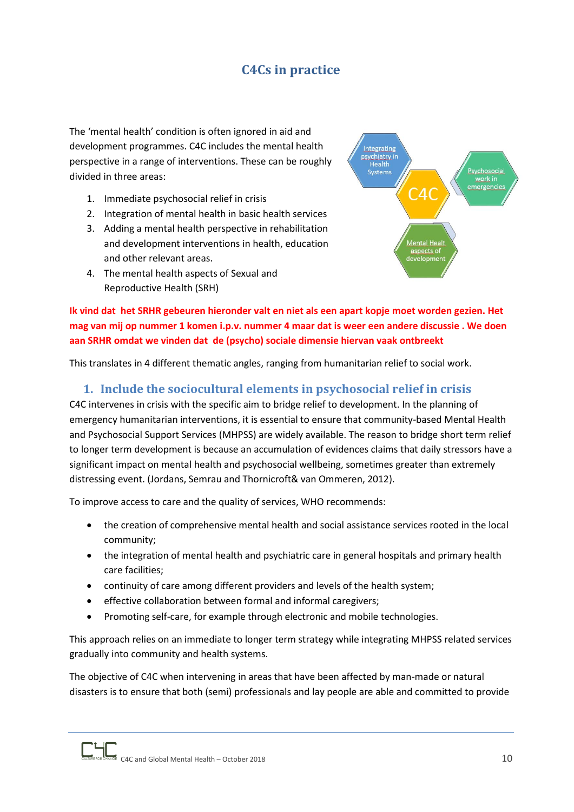# **C4Cs in practice**

<span id="page-9-0"></span>The 'mental health' condition is often ignored in aid and development programmes. C4C includes the mental health perspective in a range of interventions. These can be roughly divided in three areas:

- 1. Immediate psychosocial relief in crisis
- 2. Integration of mental health in basic health services
- 3. Adding a mental health perspective in rehabilitation and development interventions in health, education and other relevant areas.
- 4. The mental health aspects of Sexual and Reproductive Health (SRH)



**Ik vind dat het SRHR gebeuren hieronder valt en niet als een apart kopje moet worden gezien. Het mag van mij op nummer 1 komen i.p.v. nummer 4 maar dat is weer een andere discussie . We doen aan SRHR omdat we vinden dat de (psycho) sociale dimensie hiervan vaak ontbreekt** 

This translates in 4 different thematic angles, ranging from humanitarian relief to social work.

## <span id="page-9-1"></span>**1. Include the sociocultural elements in psychosocial relief in crisis**

C4C intervenes in crisis with the specific aim to bridge relief to development. In the planning of emergency humanitarian interventions, it is essential to ensure that community-based Mental Health and Psychosocial Support Services (MHPSS) are widely available. The reason to bridge short term relief to longer term development is because an accumulation of evidences claims that daily stressors have a significant impact on mental health and psychosocial wellbeing, sometimes greater than extremely distressing event. (Jordans, Semrau and Thornicroft& van Ommeren, 2012).

To improve access to care and the quality of services, WHO recommends:

- the creation of comprehensive mental health and social assistance services rooted in the local community;
- the integration of mental health and psychiatric care in general hospitals and primary health care facilities;
- continuity of care among different providers and levels of the health system;
- effective collaboration between formal and informal caregivers;
- Promoting self-care, for example through electronic and mobile technologies.

This approach relies on an immediate to longer term strategy while integrating MHPSS related services gradually into community and health systems.

The objective of C4C when intervening in areas that have been affected by man-made or natural disasters is to ensure that both (semi) professionals and lay people are able and committed to provide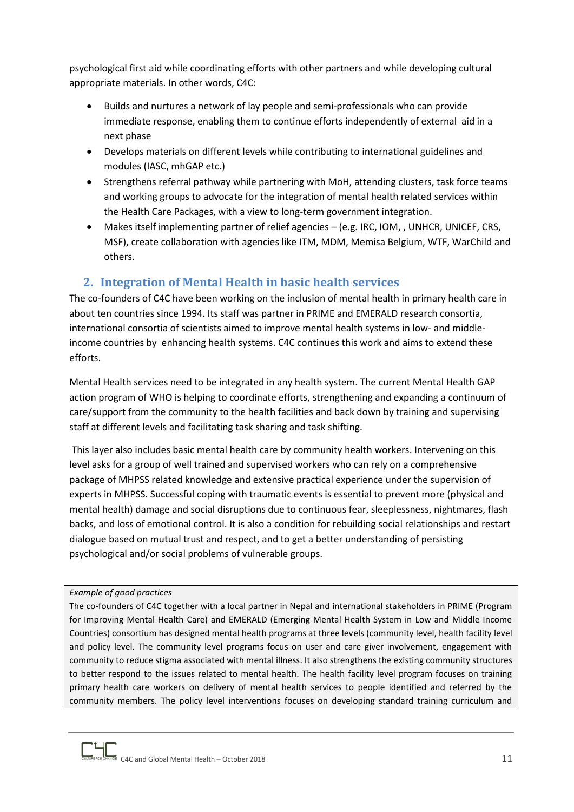psychological first aid while coordinating efforts with other partners and while developing cultural appropriate materials. In other words, C4C:

- Builds and nurtures a network of lay people and semi-professionals who can provide immediate response, enabling them to continue efforts independently of external aid in a next phase
- Develops materials on different levels while contributing to international guidelines and modules (IASC, mhGAP etc.)
- Strengthens referral pathway while partnering with MoH, attending clusters, task force teams and working groups to advocate for the integration of mental health related services within the Health Care Packages, with a view to long-term government integration.
- Makes itself implementing partner of relief agencies (e.g. IRC, IOM, , UNHCR, UNICEF, CRS, MSF), create collaboration with agencies like ITM, MDM, Memisa Belgium, WTF, WarChild and others.

## <span id="page-10-0"></span>**2. Integration of Mental Health in basic health services**

The co-founders of C4C have been working on the inclusion of mental health in primary health care in about ten countries since 1994. Its staff was partner in PRIME and EMERALD research consortia, international consortia of scientists aimed to improve mental health systems in low- and middleincome countries by enhancing health systems. C4C continues this work and aims to extend these efforts.

Mental Health services need to be integrated in any health system. The current Mental Health GAP action program of WHO is helping to coordinate efforts, strengthening and expanding a continuum of care/support from the community to the health facilities and back down by training and supervising staff at different levels and facilitating task sharing and task shifting.

This layer also includes basic mental health care by community health workers. Intervening on this level asks for a group of well trained and supervised workers who can rely on a comprehensive package of MHPSS related knowledge and extensive practical experience under the supervision of experts in MHPSS. Successful coping with traumatic events is essential to prevent more (physical and mental health) damage and social disruptions due to continuous fear, sleeplessness, nightmares, flash backs, and loss of emotional control. It is also a condition for rebuilding social relationships and restart dialogue based on mutual trust and respect, and to get a better understanding of persisting psychological and/or social problems of vulnerable groups.

#### *Example of good practices*

The co-founders of C4C together with a local partner in Nepal and international stakeholders in PRIME (Program for Improving Mental Health Care) and EMERALD (Emerging Mental Health System in Low and Middle Income Countries) consortium has designed mental health programs at three levels (community level, health facility level and policy level. The community level programs focus on user and care giver involvement, engagement with community to reduce stigma associated with mental illness. It also strengthens the existing community structures to better respond to the issues related to mental health. The health facility level program focuses on training primary health care workers on delivery of mental health services to people identified and referred by the community members. The policy level interventions focuses on developing standard training curriculum and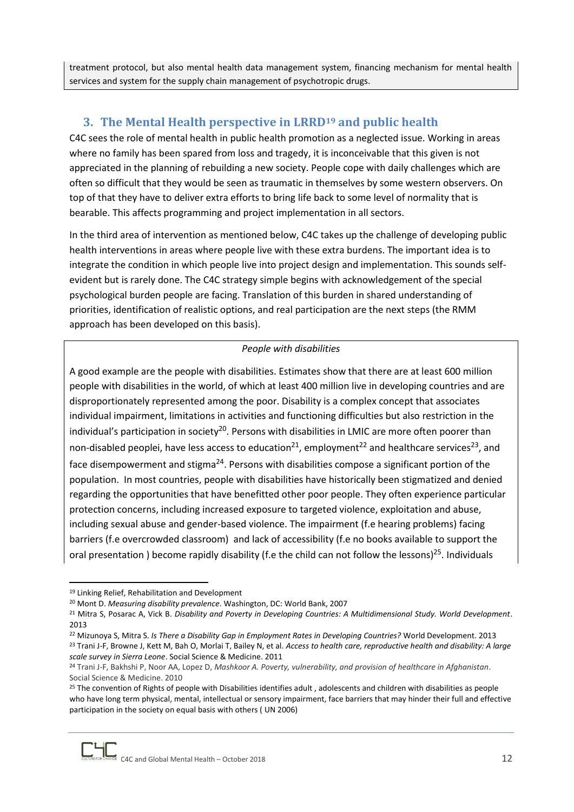treatment protocol, but also mental health data management system, financing mechanism for mental health services and system for the supply chain management of psychotropic drugs.

## <span id="page-11-0"></span>**3. The Mental Health perspective in LRRD<sup>19</sup> and public health**

C4C sees the role of mental health in public health promotion as a neglected issue. Working in areas where no family has been spared from loss and tragedy, it is inconceivable that this given is not appreciated in the planning of rebuilding a new society. People cope with daily challenges which are often so difficult that they would be seen as traumatic in themselves by some western observers. On top of that they have to deliver extra efforts to bring life back to some level of normality that is bearable. This affects programming and project implementation in all sectors.

In the third area of intervention as mentioned below, C4C takes up the challenge of developing public health interventions in areas where people live with these extra burdens. The important idea is to integrate the condition in which people live into project design and implementation. This sounds selfevident but is rarely done. The C4C strategy simple begins with acknowledgement of the special psychological burden people are facing. Translation of this burden in shared understanding of priorities, identification of realistic options, and real participation are the next steps (the RMM approach has been developed on this basis).

#### *People with disabilities*

A good example are the people with disabilities. Estimates show that there are at least 600 million people with disabilities in the world, of which at least 400 million live in developing countries and are disproportionately represented among the poor. Disability is a complex concept that associates individual impairment, limitations in activities and functioning difficulties but also restriction in the individual's participation in society<sup>20</sup>. Persons with disabilities in LMIC are more often poorer than non-disabled peoplei, have less access to education<sup>21</sup>, employment<sup>22</sup> and healthcare services<sup>23</sup>, and face disempowerment and stigma<sup>24</sup>. Persons with disabilities compose a significant portion of the population. In most countries, people with disabilities have historically been stigmatized and denied regarding the opportunities that have benefitted other poor people. They often experience particular protection concerns, including increased exposure to targeted violence, exploitation and abuse, including sexual abuse and gender-based violence. The impairment (f.e hearing problems) facing barriers (f.e overcrowded classroom) and lack of accessibility (f.e no books available to support the oral presentation ) become rapidly disability (f.e the child can not follow the lessons)<sup>25</sup>. Individuals

<sup>19</sup> Linking Relief, Rehabilitation and Development

<sup>20</sup> Mont D. *Measuring disability prevalence*. Washington, DC: World Bank, 2007

<sup>21</sup> Mitra S, Posarac A, Vick B. *Disability and Poverty in Developing Countries: A Multidimensional Study. World Development*. 2013

<sup>22</sup> Mizunoya S, Mitra S. *Is There a Disability Gap in Employment Rates in Developing Countries?* World Development. 2013 <sup>23</sup> Trani J-F, Browne J, Kett M, Bah O, Morlai T, Bailey N, et al. *Access to health care, reproductive health and disability: A large scale survey in Sierra Leone*. Social Science & Medicine. 2011

<sup>24</sup> Trani J-F, Bakhshi P, Noor AA, Lopez D, *Mashkoor A. Poverty, vulnerability, and provision of healthcare in Afghanistan*. Social Science & Medicine. 2010

<sup>&</sup>lt;sup>25</sup> The convention of Rights of people with Disabilities identifies adult, adolescents and children with disabilities as people who have long term physical, mental, intellectual or sensory impairment, face barriers that may hinder their full and effective participation in the society on equal basis with others ( UN 2006)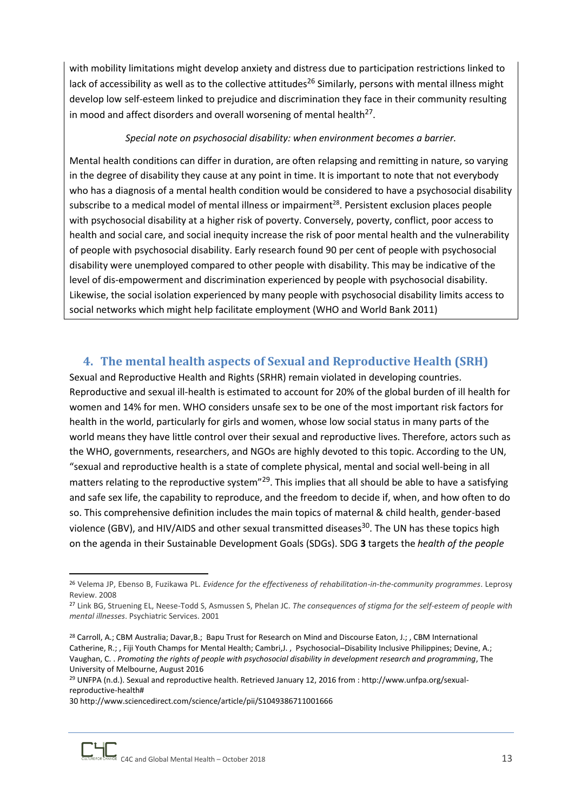with mobility limitations might develop anxiety and distress due to participation restrictions linked to lack of accessibility as well as to the collective attitudes<sup>26</sup> Similarly, persons with mental illness might develop low self-esteem linked to prejudice and discrimination they face in their community resulting in mood and affect disorders and overall worsening of mental health $^{27}$ .

#### *Special note on psychosocial disability: when environment becomes a barrier.*

Mental health conditions can differ in duration, are often relapsing and remitting in nature, so varying in the degree of disability they cause at any point in time. It is important to note that not everybody who has a diagnosis of a mental health condition would be considered to have a psychosocial disability subscribe to a medical model of mental illness or impairment<sup>28</sup>. Persistent exclusion places people with psychosocial disability at a higher risk of poverty. Conversely, poverty, conflict, poor access to health and social care, and social inequity increase the risk of poor mental health and the vulnerability of people with psychosocial disability. Early research found 90 per cent of people with psychosocial disability were unemployed compared to other people with disability. This may be indicative of the level of dis-empowerment and discrimination experienced by people with psychosocial disability. Likewise, the social isolation experienced by many people with psychosocial disability limits access to social networks which might help facilitate employment (WHO and World Bank 2011)

## <span id="page-12-0"></span>**4. The mental health aspects of Sexual and Reproductive Health (SRH)**

Sexual and Reproductive Health and Rights (SRHR) remain violated in developing countries. Reproductive and sexual ill-health is estimated to account for 20% of the global burden of ill health for women and 14% for men. WHO considers unsafe sex to be one of the most important risk factors for health in the world, particularly for girls and women, whose low social status in many parts of the world means they have little control over their sexual and reproductive lives. Therefore, actors such as the WHO, governments, researchers, and NGOs are highly devoted to this topic. According to the UN, "sexual and reproductive health is a state of complete physical, mental and social well-being in all matters relating to the reproductive system"<sup>29</sup>. This implies that all should be able to have a satisfying and safe sex life, the capability to reproduce, and the freedom to decide if, when, and how often to do so. This comprehensive definition includes the main topics of maternal & child health, gender-based violence (GBV), and HIV/AIDS and other sexual transmitted diseases<sup>30</sup>. The UN has these topics high on the agenda in their Sustainable Development Goals (SDGs). SDG **3** targets the *health of the people*

<sup>1</sup> <sup>26</sup> Velema JP, Ebenso B, Fuzikawa PL. *Evidence for the effectiveness of rehabilitation-in-the-community programmes*. Leprosy Review. 2008

<sup>27</sup> Link BG, Struening EL, Neese-Todd S, Asmussen S, Phelan JC. *The consequences of stigma for the self-esteem of people with mental illnesses*. Psychiatric Services. 2001

<sup>&</sup>lt;sup>28</sup> Carroll, A.; CBM Australia; Davar, B.; Bapu Trust for Research on Mind and Discourse Eaton, J.; , CBM International Catherine, R.; , Fiji Youth Champs for Mental Health; Cambri,J. , Psychosocial–Disability Inclusive Philippines; Devine, A.; Vaughan, C. . *Promoting the rights of people with psychosocial disability in development research and programming*, The University of Melbourne, August 2016

<sup>29</sup> UNFPA (n.d.). Sexual and reproductive health. Retrieved January 12, 2016 from : http://www.unfpa.org/sexualreproductive-health#

<sup>30</sup> <http://www.sciencedirect.com/science/article/pii/S1049386711001666>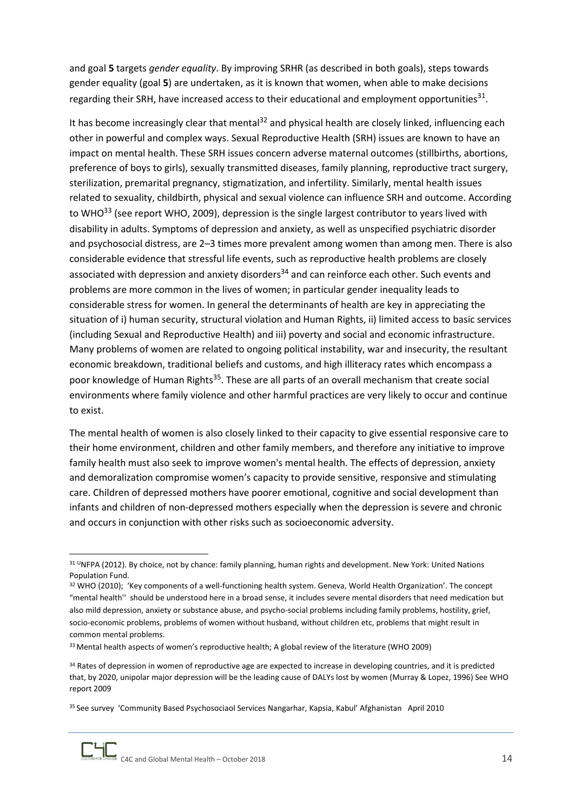and goal **5** targets *gender equality*. By improving SRHR (as described in both goals), steps towards gender equality (goal **5**) are undertaken, as it is known that women, when able to make decisions regarding their SRH, have increased access to their educational and employment opportunities<sup>31</sup>.

It has become increasingly clear that mental<sup>32</sup> and physical health are closely linked, influencing each other in powerful and complex ways. Sexual Reproductive Health (SRH) issues are known to have an impact on mental health. These SRH issues concern adverse maternal outcomes (stillbirths, abortions, preference of boys to girls), sexually transmitted diseases, family planning, reproductive tract surgery, sterilization, premarital pregnancy, stigmatization, and infertility. Similarly, mental health issues related to sexuality, childbirth, physical and sexual violence can influence SRH and outcome. According to WHO $^{33}$  (see report WHO, 2009), depression is the single largest contributor to years lived with disability in adults. Symptoms of depression and anxiety, as well as unspecified psychiatric disorder and psychosocial distress, are 2–3 times more prevalent among women than among men. There is also considerable evidence that stressful life events, such as reproductive health problems are closely associated with depression and anxiety disorders<sup>34</sup> and can reinforce each other. Such events and problems are more common in the lives of women; in particular gender inequality leads to considerable stress for women. In general the determinants of health are key in appreciating the situation of i) human security, structural violation and Human Rights, ii) limited access to basic services (including Sexual and Reproductive Health) and iii) poverty and social and economic infrastructure. Many problems of women are related to ongoing political instability, war and insecurity, the resultant economic breakdown, traditional beliefs and customs, and high illiteracy rates which encompass a poor knowledge of Human Rights<sup>35</sup>. These are all parts of an overall mechanism that create social environments where family violence and other harmful practices are very likely to occur and continue to exist.

The mental health of women is also closely linked to their capacity to give essential responsive care to their home environment, children and other family members, and therefore any initiative to improve family health must also seek to improve women's mental health. The effects of depression, anxiety and demoralization compromise women's capacity to provide sensitive, responsive and stimulating care. Children of depressed mothers have poorer emotional, cognitive and social development than infants and children of non-depressed mothers especially when the depression is severe and chronic and occurs in conjunction with other risks such as socioeconomic adversity.

<sup>31</sup> UNFPA (2012). By choice, not by chance: family planning, human rights and development. New York: United Nations Population Fund.

<sup>32</sup> WHO (2010); 'Key components of a well-functioning health system. Geneva, World Health Organization'. The concept "mental health'' should be understood here in a broad sense, it includes severe mental disorders that need medication but also mild depression, anxiety or substance abuse, and psycho-social problems including family problems, hostility, grief, socio-economic problems, problems of women without husband, without children etc, problems that might result in common mental problems.

<sup>&</sup>lt;sup>33</sup> Mental health aspects of women's reproductive health; A global review of the literature (WHO 2009)

<sup>&</sup>lt;sup>34</sup> Rates of depression in women of reproductive age are expected to increase in developing countries, and it is predicted that, by 2020, unipolar major depression will be the leading cause of DALYs lost by women (Murray & Lopez, 1996) See WHO report 2009

<sup>35</sup> See survey 'Community Based Psychosociaol Services Nangarhar, Kapsia, Kabul' Afghanistan April 2010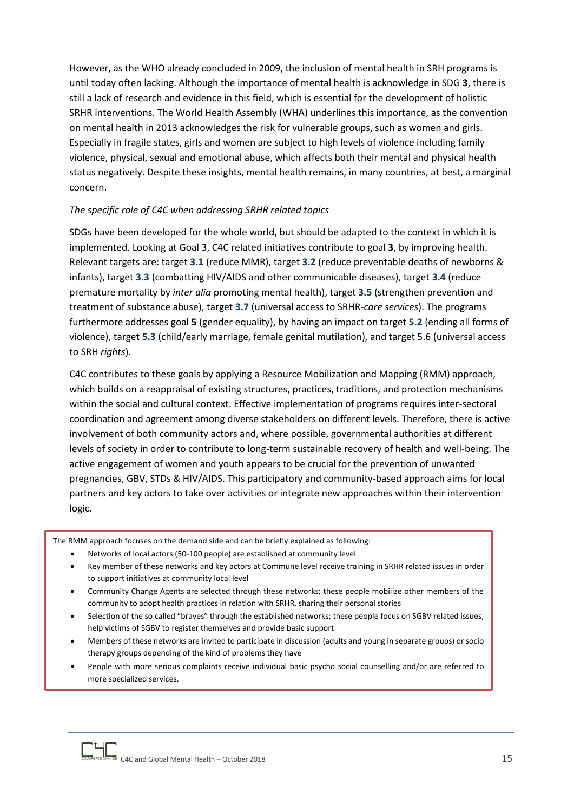However, as the WHO already concluded in 2009, the inclusion of mental health in SRH programs is until today often lacking. Although the importance of mental health is acknowledge in SDG **3**, there is still a lack of research and evidence in this field, which is essential for the development of holistic SRHR interventions. The World Health Assembly (WHA) underlines this importance, as the convention on mental health in 2013 acknowledges the risk for vulnerable groups, such as women and girls. Especially in fragile states, girls and women are subject to high levels of violence including family violence, physical, sexual and emotional abuse, which affects both their mental and physical health status negatively. Despite these insights, mental health remains, in many countries, at best, a marginal concern.

#### *The specific role of C4C when addressing SRHR related topics*

SDGs have been developed for the whole world, but should be adapted to the context in which it is implemented. Looking at Goal 3, C4C related initiatives contribute to goal **3**, by improving health. Relevant targets are: target **3.1** (reduce MMR), target **3.2** (reduce preventable deaths of newborns & infants), target **3.3** (combatting HIV/AIDS and other communicable diseases), target **3.4** (reduce premature mortality by *inter alia* promoting mental health), target **3.5** (strengthen prevention and treatment of substance abuse), target **3.7** (universal access to SRHR-*care services*). The programs furthermore addresses goal **5** (gender equality), by having an impact on target **5.2** (ending all forms of violence), target **5.3** (child/early marriage, female genital mutilation), and target 5.6 (universal access to SRH *rights*).

C4C contributes to these goals by applying a Resource Mobilization and Mapping (RMM) approach, which builds on a reappraisal of existing structures, practices, traditions, and protection mechanisms within the social and cultural context. Effective implementation of programs requires inter-sectoral coordination and agreement among diverse stakeholders on different levels. Therefore, there is active involvement of both community actors and, where possible, governmental authorities at different levels of society in order to contribute to long-term sustainable recovery of health and well-being. The active engagement of women and youth appears to be crucial for the prevention of unwanted pregnancies, GBV, STDs & HIV/AIDS. This participatory and community-based approach aims for local partners and key actors to take over activities or integrate new approaches within their intervention logic.

The RMM approach focuses on the demand side and can be briefly explained as following:

- Networks of local actors (50-100 people) are established at community level
- Key member of these networks and key actors at Commune level receive training in SRHR related issues in order to support initiatives at community local level
- Community Change Agents are selected through these networks; these people mobilize other members of the community to adopt health practices in relation with SRHR, sharing their personal stories
- Selection of the so called "braves" through the established networks; these people focus on SGBV related issues, help victims of SGBV to register themselves and provide basic support
- Members of these networks are invited to participate in discussion (adults and young in separate groups) or socio therapy groups depending of the kind of problems they have
- People with more serious complaints receive individual basic psycho social counselling and/or are referred to more specialized services.